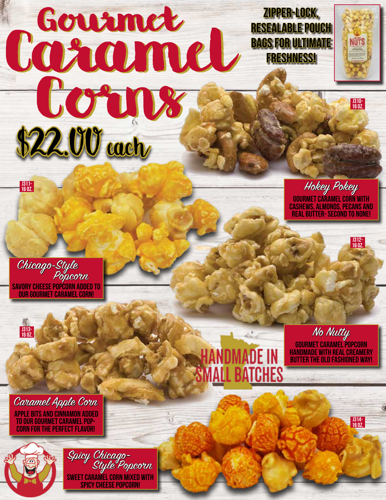## Courmet Ne Corns January RESHNESSI \$22.00 each Gourmet

Zipper-Lock, resealable pouch bags for Ultimate Freshness!



16 oz.

J312- 16 oz.

J314- 16 oz.

Hokey Pokey<br>Gourmet caramel corn with cashews, almonds, pecans and real butter- second to none!

Chicago-Style Savory cheese popcorn added to our gourmet caramel corn! Popcorn



J311- 16 oz.

Caramel Apple Corn<br>apple bits and cinnamon added to our gourmet caramel popcorn for the perfect flavor!



Spicy Chicago-Sweet caramel corn mixed with spicy cheese popcorn! Style Popcorn



No *Nutty*<br>Gourmet caramel popcorn handmade with real creamery butter the old fashioned way!